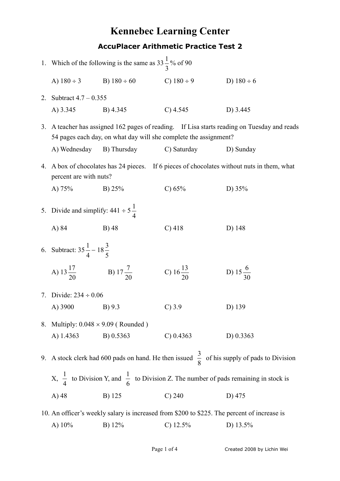## **Kennebec Learning Center AccuPlacer Arithmetic Practice Test 2**

|                                                                                                                                                                 |                                                                                                           | 1. Which of the following is the same as $33\frac{1}{3}$ % of 90                                                  |                         |                                                                                             |
|-----------------------------------------------------------------------------------------------------------------------------------------------------------------|-----------------------------------------------------------------------------------------------------------|-------------------------------------------------------------------------------------------------------------------|-------------------------|---------------------------------------------------------------------------------------------|
|                                                                                                                                                                 |                                                                                                           | A) $180 \div 3$ B) $180 \div 60$ C) $180 \div 9$                                                                  |                         | D) $180 \div 6$                                                                             |
| 2.                                                                                                                                                              |                                                                                                           | Subtract $4.7 - 0.355$                                                                                            |                         |                                                                                             |
|                                                                                                                                                                 | A) 3.345 B) 4.345                                                                                         |                                                                                                                   | $C)$ 4.545              | D) 3.445                                                                                    |
| 3. A teacher has assigned 162 pages of reading. If Lisa starts reading on Tuesday and reads<br>54 pages each day, on what day will she complete the assignment? |                                                                                                           |                                                                                                                   |                         |                                                                                             |
|                                                                                                                                                                 | A) Wednesday                                                                                              |                                                                                                                   | B) Thursday C) Saturday | D) Sunday                                                                                   |
| 4.                                                                                                                                                              |                                                                                                           | A box of chocolates has 24 pieces. If 6 pieces of chocolates without nuts in them, what<br>percent are with nuts? |                         |                                                                                             |
|                                                                                                                                                                 | B) $25%$<br>A) $75%$                                                                                      |                                                                                                                   | C) $65%$                | D) $35%$                                                                                    |
|                                                                                                                                                                 | 5. Divide and simplify: $441 \div 5\frac{1}{4}$                                                           |                                                                                                                   |                         |                                                                                             |
|                                                                                                                                                                 | A) 84<br>B) 48                                                                                            |                                                                                                                   | $C)$ 418                | D) 148                                                                                      |
|                                                                                                                                                                 | 6. Subtract: $35\frac{1}{4} - 18\frac{3}{5}$                                                              |                                                                                                                   |                         |                                                                                             |
|                                                                                                                                                                 |                                                                                                           | A) $13\frac{17}{20}$ B) $17\frac{7}{20}$                                                                          | C) $16\frac{13}{20}$    | D) 15 $\frac{6}{30}$                                                                        |
|                                                                                                                                                                 | 7. Divide: $234 \div 0.06$                                                                                |                                                                                                                   |                         |                                                                                             |
|                                                                                                                                                                 | A) 3900 B) 9.3                                                                                            |                                                                                                                   | $C$ ) 3.9               | D) 139                                                                                      |
|                                                                                                                                                                 | 8. Multiply: $0.048 \times 9.09$ (Rounded)                                                                |                                                                                                                   |                         |                                                                                             |
|                                                                                                                                                                 | A) 1.4363                                                                                                 | B) 0.5363                                                                                                         | C) 0.4363               | D $) 0.3363$                                                                                |
| 9.                                                                                                                                                              |                                                                                                           | A stock clerk had 600 pads on hand. He then issued $\frac{3}{8}$ of his supply of pads to Division                |                         |                                                                                             |
|                                                                                                                                                                 | X, $\frac{1}{4}$ to Division Y, and $\frac{1}{6}$ to Division Z. The number of pads remaining in stock is |                                                                                                                   |                         |                                                                                             |
|                                                                                                                                                                 | A) 48                                                                                                     | B) 125                                                                                                            | $C$ ) 240               | D) 475                                                                                      |
|                                                                                                                                                                 |                                                                                                           |                                                                                                                   |                         | 10. An officer's weekly salary is increased from \$200 to \$225. The percent of increase is |

A) 10% B) 12% C) 12.5% D) 13.5%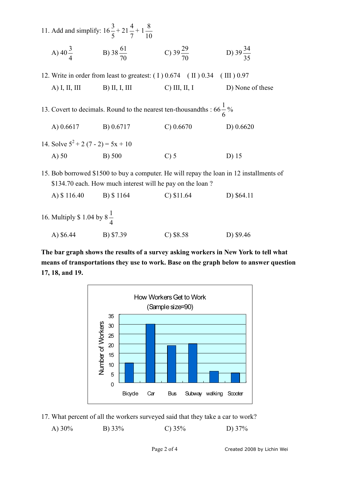|                                                                                  | 11. Add and simplify: $16\frac{3}{5} + 21\frac{4}{7} + 1\frac{8}{10}$ |                                                                                         |                      |
|----------------------------------------------------------------------------------|-----------------------------------------------------------------------|-----------------------------------------------------------------------------------------|----------------------|
|                                                                                  | A) $40\frac{3}{4}$ B) $38\frac{61}{70}$ C) $39\frac{29}{70}$          |                                                                                         | D) $39\frac{34}{35}$ |
| 12. Write in order from least to greatest: $(1)$ 0.674 $(1)$ 0.34 $(1)$ 10.97    |                                                                       |                                                                                         |                      |
| A) I, II, III B) II, I, III                                                      |                                                                       | $C)$ III, II, I                                                                         | D) None of these     |
| 13. Covert to decimals. Round to the nearest ten-thousandths : $66\frac{1}{6}\%$ |                                                                       |                                                                                         |                      |
| A) 0.6617 B) 0.6717                                                              |                                                                       | $C$ ) 0.6670                                                                            | D) $0.6620$          |
| 14. Solve $5^2 + 2(7 - 2) = 5x + 10$                                             |                                                                       |                                                                                         |                      |
| $A)$ 50                                                                          | B) 500                                                                | $C$ ) 5                                                                                 | D) 15                |
|                                                                                  | \$134.70 each. How much interest will he pay on the loan?             | 15. Bob borrowed \$1500 to buy a computer. He will repay the loan in 12 installments of |                      |
| A) \$116.40 B) \$1164                                                            |                                                                       | $C$ ) \$11.64                                                                           | D) \$64.11           |
| 16. Multiply \$ 1.04 by $8\frac{1}{4}$                                           |                                                                       |                                                                                         |                      |

A) \$6.44 B) \$7.39 C) \$8.58 D) \$9.46

**The bar graph shows the results of a survey asking workers in New York to tell what means of transportations they use to work. Base on the graph below to answer question 17, 18, and 19.** 



17. What percent of all the workers surveyed said that they take a car to work?

A) 30% B) 33% C) 35% D) 37%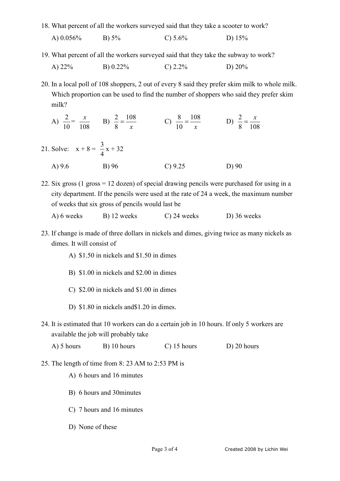18. What percent of all the workers surveyed said that they take a scooter to work?

- A) 0.056% B) 5% C) 5.6% D) 15%
- 19. What percent of all the workers surveyed said that they take the subway to work?

| A) $22\%$ | B) $0.22\%$ | C) $2.2\%$ | D) $20\%$ |
|-----------|-------------|------------|-----------|
|           |             |            |           |

20. In a local poll of 108 shoppers, 2 out of every 8 said they prefer skim milk to whole milk. Which proportion can be used to find the number of shoppers who said they prefer skim milk?

- A) 10  $\frac{2}{\epsilon}$ 108 *x* B)  $\frac{2}{8} = \frac{10}{x}$ 108 8  $\frac{2}{8} = \frac{108}{x}$  C)  $\frac{8}{10} = \frac{10}{x}$ 108 10  $\frac{8}{10} = \frac{108}{100}$  D) 8 108  $\frac{2}{x} = \frac{x}{x}$
- 21. Solve:  $x + 8 =$ 4  $\frac{3}{1}x + 32$ A) 9.6 B) 96 C) 9.25 D) 90

22. Six gross (1 gross = 12 dozen) of special drawing pencils were purchased for using in a city department. If the pencils were used at the rate of 24 a week, the maximum number of weeks that six gross of pencils would last be

| A) 6 weeks | B) 12 weeks | $C$ ) 24 weeks | D) 36 weeks |
|------------|-------------|----------------|-------------|
|------------|-------------|----------------|-------------|

- 23. If change is made of three dollars in nickels and dimes, giving twice as many nickels as dimes. It will consist of
	- A) \$1.50 in nickels and \$1.50 in dimes
	- B) \$1.00 in nickels and \$2.00 in dimes
	- C) \$2.00 in nickels and \$1.00 in dimes
	- D) \$1.80 in nickels and\$1.20 in dimes.
- 24. It is estimated that 10 workers can do a certain job in 10 hours. If only 5 workers are available the job will probably take

| A) 5 hours | B) 10 hours | $C$ ) 15 hours | $D$ ) 20 hours |
|------------|-------------|----------------|----------------|
|------------|-------------|----------------|----------------|

- 25. The length of time from 8: 23 AM to 2:53 PM is
	- A) 6 hours and 16 minutes
	- B) 6 hours and 30minutes
	- C) 7 hours and 16 minutes
	- D) None of these